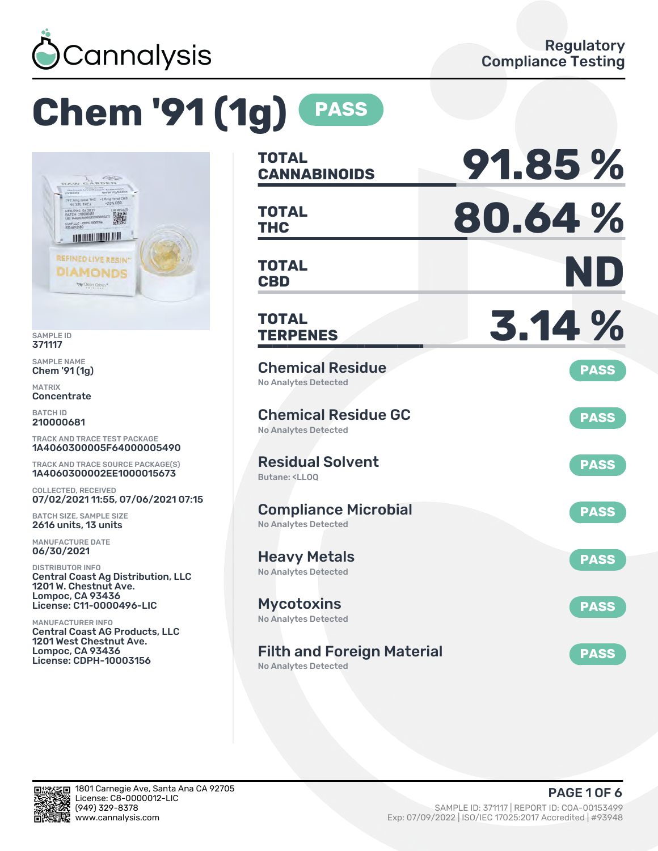

# **Chem '91 (1g) PASS**



SAMPLE ID 371117

SAMPLE NAME Chem '91 (1g)

MATRIX **Concentrate** 

BATCH ID 210000681

TRACK AND TRACE TEST PACKAGE 1A4060300005F64000005490

TRACK AND TRACE SOURCE PACKAGE(S) 1A4060300002EE1000015673

COLLECTED, RECEIVED 07/02/2021 11:55, 07/06/2021 07:15

BATCH SIZE, SAMPLE SIZE 2616 units, 13 units

MANUFACTURE DATE 06/30/2021

DISTRIBUTOR INFO Central Coast Ag Distribution, LLC 1201 W. Chestnut Ave. Lompoc, CA 93436 License: C11-0000496-LIC

MANUFACTURER INFO Central Coast AG Products, LLC 1201 West Chestnut Ave. Lompoc, CA 93436 License: CDPH-10003156

| <b>TOTAL</b><br><b>CANNABINOIDS</b>                                          | 91.85%      |
|------------------------------------------------------------------------------|-------------|
| <b>TOTAL</b><br><b>THC</b>                                                   | 80.64%      |
| <b>TOTAL</b><br><b>CBD</b>                                                   | ND          |
| <b>TOTAL</b><br><b>TERPENES</b>                                              | 3.14%       |
| <b>Chemical Residue</b><br>No Analytes Detected                              | <b>PASS</b> |
| <b>Chemical Residue GC</b><br><b>No Analytes Detected</b>                    | <b>PASS</b> |
| <b>Residual Solvent</b><br>Butane: <ll00< td=""><td><b>PASS</b></td></ll00<> | <b>PASS</b> |
| <b>Compliance Microbial</b><br><b>No Analytes Detected</b>                   | <b>PASS</b> |
| <b>Heavy Metals</b><br><b>No Analytes Detected</b>                           | <b>PASS</b> |
| <b>Mycotoxins</b><br>No Analytes Detected                                    | <b>PASS</b> |
| <b>Filth and Foreign Material</b>                                            | <b>PASS</b> |

No Analytes Detected

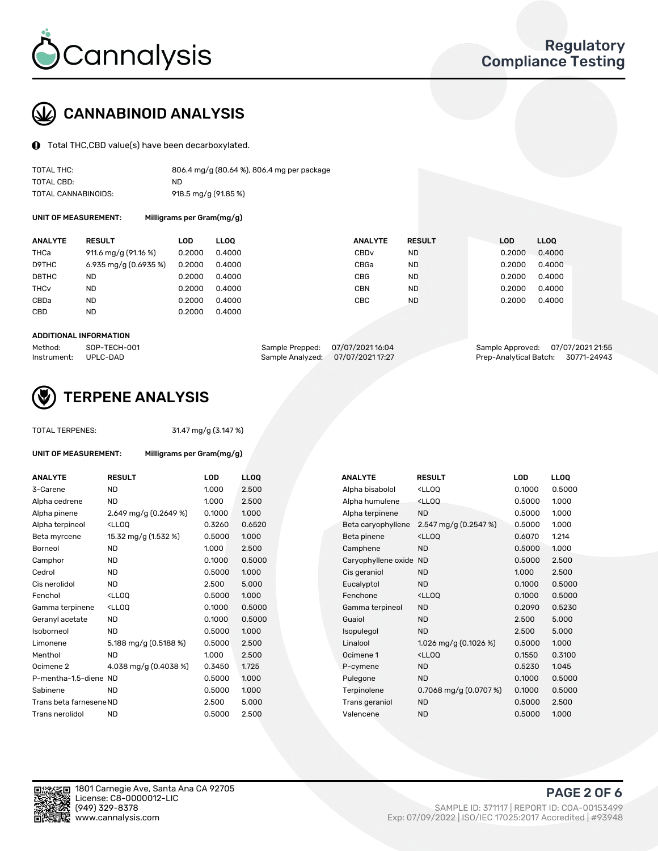

# CANNABINOID ANALYSIS

Total THC,CBD value(s) have been decarboxylated.

| TOTAL THC:          | 806.4 mg/g (80.64 %), 806.4 mg per package |
|---------------------|--------------------------------------------|
| TOTAL CBD:          | ND                                         |
| TOTAL CANNABINOIDS: | 918.5 mg/g (91.85 %)                       |

UNIT OF MEASUREMENT: Milligrams per Gram(mg/g)

| <b>ANALYTE</b>         | <b>RESULT</b>           | LOD    | <b>LLOO</b> | <b>ANALYTE</b>   | <b>RESULT</b> | <b>LOD</b> | LLOO   |
|------------------------|-------------------------|--------|-------------|------------------|---------------|------------|--------|
| THCa                   | 911.6 mg/g (91.16 %)    | 0.2000 | 0.4000      | CBD <sub>v</sub> | ND.           | 0.2000     | 0.4000 |
| D9THC                  | 6.935 mg/g $(0.6935\%)$ | 0.2000 | 0.4000      | CBGa             | ND            | 0.2000     | 0.4000 |
| D8THC                  | <b>ND</b>               | 0.2000 | 0.4000      | CBG              | <b>ND</b>     | 0.2000     | 0.4000 |
| <b>THC<sub>v</sub></b> | ND                      | 0.2000 | 0.4000      | CBN              | ND.           | 0.2000     | 0.4000 |
| CBDa                   | <b>ND</b>               | 0.2000 | 0.4000      | CBC              | <b>ND</b>     | 0.2000     | 0.4000 |
| CBD                    | <b>ND</b>               | 0.2000 | 0.4000      |                  |               |            |        |

#### ADDITIONAL INFORMATION

| Method:              | SOP-TECH-001 | Sample Prepped: 07/07/202116:04   | Sample Approved: 07/07/2021 21:55  |  |
|----------------------|--------------|-----------------------------------|------------------------------------|--|
| Instrument: UPLC-DAD |              | Sample Analyzed: 07/07/2021 17:27 | Prep-Analytical Batch: 30771-24943 |  |



# TERPENE ANALYSIS

UNIT OF MEASUREMENT: Milligrams per Gram(mg/g)

| TUTAL TENFENES. |  |
|-----------------|--|
|                 |  |
|                 |  |

TOTAL TERPENES: 31.47 mg/g (3.147 %)

| <b>ANALYTE</b>          | <b>RESULT</b>                                                                                                                             | <b>LOD</b> | <b>LLOQ</b> | <b>ANALYTE</b>         | <b>RESULT</b>                                       | <b>LOD</b> | <b>LLOQ</b> |
|-------------------------|-------------------------------------------------------------------------------------------------------------------------------------------|------------|-------------|------------------------|-----------------------------------------------------|------------|-------------|
| 3-Carene                | <b>ND</b>                                                                                                                                 | 1.000      | 2.500       | Alpha bisabolol        | <ll0q< td=""><td>0.1000</td><td>0.5000</td></ll0q<> | 0.1000     | 0.5000      |
| Alpha cedrene           | <b>ND</b>                                                                                                                                 | 1.000      | 2.500       | Alpha humulene         | <lloq< td=""><td>0.5000</td><td>1.000</td></lloq<>  | 0.5000     | 1.000       |
| Alpha pinene            | 2.649 mg/g $(0.2649\%)$                                                                                                                   | 0.1000     | 1.000       | Alpha terpinene        | <b>ND</b>                                           | 0.5000     | 1.000       |
| Alpha terpineol         | <lloq< td=""><td>0.3260</td><td>0.6520</td><td>Beta caryophyllene</td><td>2.547 mg/g (0.2547 %)</td><td>0.5000</td><td>1.000</td></lloq<> | 0.3260     | 0.6520      | Beta caryophyllene     | 2.547 mg/g (0.2547 %)                               | 0.5000     | 1.000       |
| Beta myrcene            | 15.32 mg/g (1.532 %)                                                                                                                      | 0.5000     | 1.000       | Beta pinene            | <ll0q< td=""><td>0.6070</td><td>1.214</td></ll0q<>  | 0.6070     | 1.214       |
| Borneol                 | <b>ND</b>                                                                                                                                 | 1.000      | 2.500       | Camphene               | <b>ND</b>                                           | 0.5000     | 1.000       |
| Camphor                 | <b>ND</b>                                                                                                                                 | 0.1000     | 0.5000      | Caryophyllene oxide ND |                                                     | 0.5000     | 2.500       |
| Cedrol                  | <b>ND</b>                                                                                                                                 | 0.5000     | 1.000       | Cis geraniol           | <b>ND</b>                                           | 1.000      | 2.500       |
| Cis nerolidol           | <b>ND</b>                                                                                                                                 | 2.500      | 5.000       | Eucalyptol             | <b>ND</b>                                           | 0.1000     | 0.5000      |
| Fenchol                 | <lloq< td=""><td>0.5000</td><td>1.000</td><td>Fenchone</td><td><lloq< td=""><td>0.1000</td><td>0.5000</td></lloq<></td></lloq<>           | 0.5000     | 1.000       | Fenchone               | <lloq< td=""><td>0.1000</td><td>0.5000</td></lloq<> | 0.1000     | 0.5000      |
| Gamma terpinene         | <lloq< td=""><td>0.1000</td><td>0.5000</td><td>Gamma terpineol</td><td><b>ND</b></td><td>0.2090</td><td>0.5230</td></lloq<>               | 0.1000     | 0.5000      | Gamma terpineol        | <b>ND</b>                                           | 0.2090     | 0.5230      |
| Geranyl acetate         | <b>ND</b>                                                                                                                                 | 0.1000     | 0.5000      | Guaiol                 | <b>ND</b>                                           | 2.500      | 5.000       |
| Isoborneol              | <b>ND</b>                                                                                                                                 | 0.5000     | 1.000       | Isopulegol             | <b>ND</b>                                           | 2.500      | 5.000       |
| Limonene                | 5.188 mg/g (0.5188 %)                                                                                                                     | 0.5000     | 2.500       | Linalool               | 1.026 mg/g $(0.1026\%)$                             | 0.5000     | 1.000       |
| Menthol                 | <b>ND</b>                                                                                                                                 | 1.000      | 2.500       | Ocimene 1              | <lloq< td=""><td>0.1550</td><td>0.3100</td></lloq<> | 0.1550     | 0.3100      |
| Ocimene 2               | 4.038 mg/g (0.4038 %)                                                                                                                     | 0.3450     | 1.725       | P-cymene               | <b>ND</b>                                           | 0.5230     | 1.045       |
| P-mentha-1.5-diene ND   |                                                                                                                                           | 0.5000     | 1.000       | Pulegone               | <b>ND</b>                                           | 0.1000     | 0.5000      |
| Sabinene                | <b>ND</b>                                                                                                                                 | 0.5000     | 1.000       | Terpinolene            | 0.7068 mg/g $(0.0707%)$                             | 0.1000     | 0.5000      |
| Trans beta farnesene ND |                                                                                                                                           | 2.500      | 5.000       | Trans geraniol         | <b>ND</b>                                           | 0.5000     | 2.500       |
| Trans nerolidol         | <b>ND</b>                                                                                                                                 | 0.5000     | 2.500       | Valencene              | <b>ND</b>                                           | 0.5000     | 1.000       |

| <b>ANALYTE</b>      | <b>RESULT</b>                                       | LOD    | <b>LLOO</b> |
|---------------------|-----------------------------------------------------|--------|-------------|
| Alpha bisabolol     | <lloq< td=""><td>0.1000</td><td>0.5000</td></lloq<> | 0.1000 | 0.5000      |
| Alpha humulene      | <lloq< td=""><td>0.5000</td><td>1.000</td></lloq<>  | 0.5000 | 1.000       |
| Alpha terpinene     | <b>ND</b>                                           | 0.5000 | 1.000       |
| Beta caryophyllene  | 2.547 mg/g $(0.2547%)$                              | 0.5000 | 1.000       |
| Beta pinene         | <lloq< td=""><td>0.6070</td><td>1.214</td></lloq<>  | 0.6070 | 1.214       |
| Camphene            | <b>ND</b>                                           | 0.5000 | 1.000       |
| Caryophyllene oxide | <b>ND</b>                                           | 0.5000 | 2.500       |
| Cis geraniol        | <b>ND</b>                                           | 1.000  | 2.500       |
| Eucalyptol          | <b>ND</b>                                           | 0.1000 | 0.5000      |
| Fenchone            | <lloq< td=""><td>0.1000</td><td>0.5000</td></lloq<> | 0.1000 | 0.5000      |
| Gamma terpineol     | <b>ND</b>                                           | 0.2090 | 0.5230      |
| Guaiol              | <b>ND</b>                                           | 2.500  | 5.000       |
| Isopulegol          | <b>ND</b>                                           | 2.500  | 5.000       |
| Linalool            | 1.026 mg/g $(0.1026\%)$                             | 0.5000 | 1.000       |
| Ocimene 1           | <lloo< td=""><td>0.1550</td><td>0.3100</td></lloo<> | 0.1550 | 0.3100      |
| P-cymene            | <b>ND</b>                                           | 0.5230 | 1.045       |
| Pulegone            | <b>ND</b>                                           | 0.1000 | 0.5000      |
| Terpinolene         | 0.7068 mg/g (0.0707 %)                              | 0.1000 | 0.5000      |
| Trans geraniol      | <b>ND</b>                                           | 0.5000 | 2.500       |
| Valencene           | <b>ND</b>                                           | 0.5000 | 1.000       |

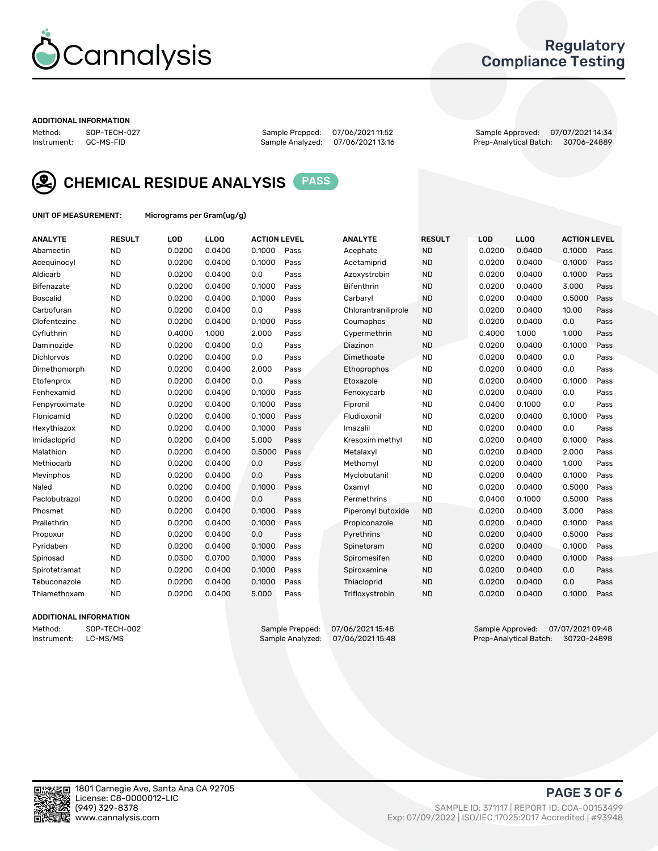

## Regulatory Compliance Testing

#### ADDITIONAL INFORMATION

Method: SOP-TECH-027 Sample Prepped: 07/06/2021 11:52 Sample Approved: 07/07/2021 14:34 Prep-Analytical Batch: 30706-24889



CHEMICAL RESIDUE ANALYSIS PASS

UNIT OF MEASUREMENT: Micrograms per Gram(ug/g)

| <b>ANALYTE</b>  | <b>RESULT</b> | LOD    | <b>LLOQ</b> | <b>ACTION LEVEL</b> |      | <b>ANALYTE</b>      | <b>RESULT</b> | <b>LOD</b> | <b>LLOQ</b> | <b>ACTION LEVEL</b> |      |
|-----------------|---------------|--------|-------------|---------------------|------|---------------------|---------------|------------|-------------|---------------------|------|
| Abamectin       | <b>ND</b>     | 0.0200 | 0.0400      | 0.1000              | Pass | Acephate            | <b>ND</b>     | 0.0200     | 0.0400      | 0.1000              | Pass |
| Acequinocyl     | <b>ND</b>     | 0.0200 | 0.0400      | 0.1000              | Pass | Acetamiprid         | <b>ND</b>     | 0.0200     | 0.0400      | 0.1000              | Pass |
| Aldicarb        | <b>ND</b>     | 0.0200 | 0.0400      | 0.0                 | Pass | Azoxystrobin        | <b>ND</b>     | 0.0200     | 0.0400      | 0.1000              | Pass |
| Bifenazate      | <b>ND</b>     | 0.0200 | 0.0400      | 0.1000              | Pass | <b>Bifenthrin</b>   | <b>ND</b>     | 0.0200     | 0.0400      | 3.000               | Pass |
| <b>Boscalid</b> | <b>ND</b>     | 0.0200 | 0.0400      | 0.1000              | Pass | Carbaryl            | <b>ND</b>     | 0.0200     | 0.0400      | 0.5000              | Pass |
| Carbofuran      | <b>ND</b>     | 0.0200 | 0.0400      | 0.0                 | Pass | Chlorantraniliprole | <b>ND</b>     | 0.0200     | 0.0400      | 10.00               | Pass |
| Clofentezine    | <b>ND</b>     | 0.0200 | 0.0400      | 0.1000              | Pass | Coumaphos           | <b>ND</b>     | 0.0200     | 0.0400      | 0.0                 | Pass |
| Cyfluthrin      | <b>ND</b>     | 0.4000 | 1.000       | 2.000               | Pass | Cypermethrin        | <b>ND</b>     | 0.4000     | 1.000       | 1.000               | Pass |
| Daminozide      | <b>ND</b>     | 0.0200 | 0.0400      | 0.0                 | Pass | Diazinon            | <b>ND</b>     | 0.0200     | 0.0400      | 0.1000              | Pass |
| Dichlorvos      | <b>ND</b>     | 0.0200 | 0.0400      | 0.0                 | Pass | Dimethoate          | <b>ND</b>     | 0.0200     | 0.0400      | 0.0                 | Pass |
| Dimethomorph    | <b>ND</b>     | 0.0200 | 0.0400      | 2.000               | Pass | Ethoprophos         | <b>ND</b>     | 0.0200     | 0.0400      | 0.0                 | Pass |
| Etofenprox      | <b>ND</b>     | 0.0200 | 0.0400      | 0.0                 | Pass | Etoxazole           | <b>ND</b>     | 0.0200     | 0.0400      | 0.1000              | Pass |
| Fenhexamid      | <b>ND</b>     | 0.0200 | 0.0400      | 0.1000              | Pass | Fenoxycarb          | <b>ND</b>     | 0.0200     | 0.0400      | 0.0                 | Pass |
| Fenpyroximate   | <b>ND</b>     | 0.0200 | 0.0400      | 0.1000              | Pass | Fipronil            | <b>ND</b>     | 0.0400     | 0.1000      | 0.0                 | Pass |
| Flonicamid      | <b>ND</b>     | 0.0200 | 0.0400      | 0.1000              | Pass | Fludioxonil         | <b>ND</b>     | 0.0200     | 0.0400      | 0.1000              | Pass |
| Hexythiazox     | <b>ND</b>     | 0.0200 | 0.0400      | 0.1000              | Pass | Imazalil            | <b>ND</b>     | 0.0200     | 0.0400      | 0.0                 | Pass |
| Imidacloprid    | <b>ND</b>     | 0.0200 | 0.0400      | 5.000               | Pass | Kresoxim methyl     | <b>ND</b>     | 0.0200     | 0.0400      | 0.1000              | Pass |
| Malathion       | <b>ND</b>     | 0.0200 | 0.0400      | 0.5000              | Pass | Metalaxyl           | <b>ND</b>     | 0.0200     | 0.0400      | 2.000               | Pass |
| Methiocarb      | <b>ND</b>     | 0.0200 | 0.0400      | 0.0                 | Pass | Methomyl            | <b>ND</b>     | 0.0200     | 0.0400      | 1.000               | Pass |
| Mevinphos       | <b>ND</b>     | 0.0200 | 0.0400      | 0.0                 | Pass | Myclobutanil        | <b>ND</b>     | 0.0200     | 0.0400      | 0.1000              | Pass |
| Naled           | <b>ND</b>     | 0.0200 | 0.0400      | 0.1000              | Pass | Oxamvl              | <b>ND</b>     | 0.0200     | 0.0400      | 0.5000              | Pass |
| Paclobutrazol   | <b>ND</b>     | 0.0200 | 0.0400      | 0.0                 | Pass | Permethrins         | <b>ND</b>     | 0.0400     | 0.1000      | 0.5000              | Pass |
| Phosmet         | <b>ND</b>     | 0.0200 | 0.0400      | 0.1000              | Pass | Piperonyl butoxide  | <b>ND</b>     | 0.0200     | 0.0400      | 3.000               | Pass |
| Prallethrin     | <b>ND</b>     | 0.0200 | 0.0400      | 0.1000              | Pass | Propiconazole       | <b>ND</b>     | 0.0200     | 0.0400      | 0.1000              | Pass |
| Propoxur        | <b>ND</b>     | 0.0200 | 0.0400      | 0.0                 | Pass | Pyrethrins          | <b>ND</b>     | 0.0200     | 0.0400      | 0.5000              | Pass |
| Pyridaben       | <b>ND</b>     | 0.0200 | 0.0400      | 0.1000              | Pass | Spinetoram          | <b>ND</b>     | 0.0200     | 0.0400      | 0.1000              | Pass |
| Spinosad        | <b>ND</b>     | 0.0300 | 0.0700      | 0.1000              | Pass | Spiromesifen        | <b>ND</b>     | 0.0200     | 0.0400      | 0.1000              | Pass |
| Spirotetramat   | <b>ND</b>     | 0.0200 | 0.0400      | 0.1000              | Pass | Spiroxamine         | <b>ND</b>     | 0.0200     | 0.0400      | 0.0                 | Pass |
| Tebuconazole    | <b>ND</b>     | 0.0200 | 0.0400      | 0.1000              | Pass | Thiacloprid         | <b>ND</b>     | 0.0200     | 0.0400      | 0.0                 | Pass |
| Thiamethoxam    | <b>ND</b>     | 0.0200 | 0.0400      | 5.000               | Pass | Trifloxystrobin     | <b>ND</b>     | 0.0200     | 0.0400      | 0.1000              | Pass |

#### ADDITIONAL INFORMATION

Method: SOP-TECH-002 Sample Prepped: 07/06/2021 15:48 Sample Approved: 07/07/2021 09:48<br>Instrument: LC-MS/MS Sample Analyzed: 07/06/2021 15:48 Prep-Analytical Batch: 30720-24898 Prep-Analytical Batch: 30720-24898

PAGE 3 OF 6

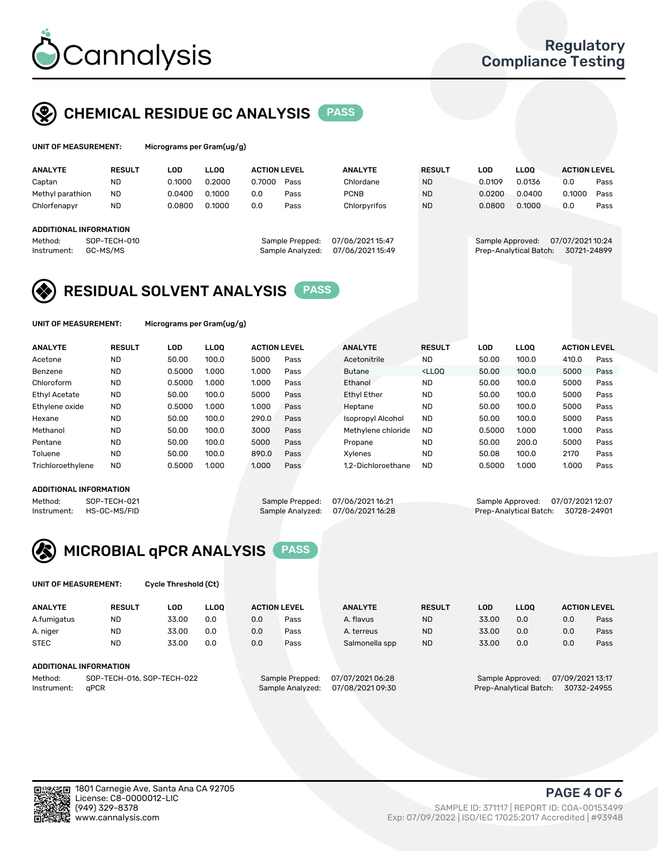

# CHEMICAL RESIDUE GC ANALYSIS PASS

| UNIT OF MEASUREMENT: | Mi |
|----------------------|----|
|                      |    |

crograms per Gram(ug/g)

| <b>ANALYTE</b>                                   | <b>RESULT</b>            | LOD    | <b>LLOO</b> | <b>ACTION LEVEL</b> |                                     | <b>ANALYTE</b>                       | <b>RESULT</b> | LOD              | <b>LLOO</b>            | <b>ACTION LEVEL</b>             |      |
|--------------------------------------------------|--------------------------|--------|-------------|---------------------|-------------------------------------|--------------------------------------|---------------|------------------|------------------------|---------------------------------|------|
| Captan                                           | <b>ND</b>                | 0.1000 | 0.2000      | 0.7000              | Pass                                | Chlordane                            | <b>ND</b>     | 0.0109           | 0.0136                 | 0.0                             | Pass |
| Methyl parathion                                 | <b>ND</b>                | 0.0400 | 0.1000      | 0.0                 | Pass                                | <b>PCNB</b>                          | <b>ND</b>     | 0.0200           | 0.0400                 | 0.1000                          | Pass |
| Chlorfenapyr                                     | <b>ND</b>                | 0.0800 | 0.1000      | 0.0                 | Pass                                | Chlorpyrifos                         | <b>ND</b>     | 0.0800           | 0.1000                 | 0.0                             | Pass |
| ADDITIONAL INFORMATION<br>Method:<br>Instrument: | SOP-TECH-010<br>GC-MS/MS |        |             |                     | Sample Prepped:<br>Sample Analyzed: | 07/06/2021 15:47<br>07/06/2021 15:49 |               | Sample Approved: | Prep-Analytical Batch: | 07/07/2021 10:24<br>30721-24899 |      |

# RESIDUAL SOLVENT ANALYSIS PASS

UNIT OF MEASUREMENT: Micrograms per Gram(ug/g)

| <b>ANALYTE</b>       | <b>RESULT</b> | LOD    | <b>LLOO</b> | <b>ACTION LEVEL</b> |      | <b>ANALYTE</b>           | <b>RESULT</b>                                                               | LOD    | <b>LLOO</b> | <b>ACTION LEVEL</b> |      |
|----------------------|---------------|--------|-------------|---------------------|------|--------------------------|-----------------------------------------------------------------------------|--------|-------------|---------------------|------|
| Acetone              | <b>ND</b>     | 50.00  | 100.0       | 5000                | Pass | Acetonitrile             | <b>ND</b>                                                                   | 50.00  | 100.0       | 410.0               | Pass |
| Benzene              | <b>ND</b>     | 0.5000 | 1.000       | 1.000               | Pass | <b>Butane</b>            | <lloo< td=""><td>50.00</td><td>100.0</td><td>5000</td><td>Pass</td></lloo<> | 50.00  | 100.0       | 5000                | Pass |
| Chloroform           | <b>ND</b>     | 0.5000 | 1.000       | 1.000               | Pass | Ethanol                  | <b>ND</b>                                                                   | 50.00  | 100.0       | 5000                | Pass |
| <b>Ethyl Acetate</b> | <b>ND</b>     | 50.00  | 100.0       | 5000                | Pass | <b>Ethyl Ether</b>       | <b>ND</b>                                                                   | 50.00  | 100.0       | 5000                | Pass |
| Ethylene oxide       | <b>ND</b>     | 0.5000 | 1.000       | 1.000               | Pass | Heptane                  | <b>ND</b>                                                                   | 50.00  | 100.0       | 5000                | Pass |
| Hexane               | <b>ND</b>     | 50.00  | 100.0       | 290.0               | Pass | <b>Isopropyl Alcohol</b> | <b>ND</b>                                                                   | 50.00  | 100.0       | 5000                | Pass |
| Methanol             | <b>ND</b>     | 50.00  | 100.0       | 3000                | Pass | Methylene chloride       | <b>ND</b>                                                                   | 0.5000 | 1.000       | 1.000               | Pass |
| Pentane              | <b>ND</b>     | 50.00  | 100.0       | 5000                | Pass | Propane                  | <b>ND</b>                                                                   | 50.00  | 200.0       | 5000                | Pass |
| Toluene              | <b>ND</b>     | 50.00  | 100.0       | 890.0               | Pass | Xvlenes                  | <b>ND</b>                                                                   | 50.08  | 100.0       | 2170                | Pass |
| Trichloroethylene    | <b>ND</b>     | 0.5000 | 1.000       | 1.000               | Pass | 1.2-Dichloroethane       | <b>ND</b>                                                                   | 0.5000 | 1.000       | 1.000               | Pass |

#### ADDITIONAL INFORMATION

Method: SOP-TECH-021 Sample Prepped: 07/06/2021 16:21 Sample Approved: 07/07/2021 12:07<br>Instrument: HS-GC-MS/FID Sample Analyzed: 07/06/2021 16:28 Prep-Analytical Batch: 30728-24901 Prep-Analytical Batch: 30728-24901



UNIT OF MEASUREMENT: Cycle Threshold (Ct)

| <b>ANALYTE</b>         | <b>RESULT</b>              | LOD   | <b>LLOO</b> | <b>ACTION LEVEL</b> |                 | <b>ANALYTE</b>  | <b>RESULT</b> | LOD   | <b>LLOO</b>      |                  | <b>ACTION LEVEL</b> |
|------------------------|----------------------------|-------|-------------|---------------------|-----------------|-----------------|---------------|-------|------------------|------------------|---------------------|
| A.fumigatus            | <b>ND</b>                  | 33.00 | 0.0         | 0.0                 | Pass            | A. flavus       | <b>ND</b>     | 33.00 | 0.0              | 0.0              | Pass                |
| A. niger               | <b>ND</b>                  | 33.00 | 0.0         | 0.0                 | Pass            | A. terreus      | <b>ND</b>     | 33.00 | 0.0              | 0.0              | Pass                |
| <b>STEC</b>            | <b>ND</b>                  | 33.00 | 0.0         | 0.0                 | Pass            | Salmonella spp  | <b>ND</b>     | 33.00 | 0.0              | 0.0              | Pass                |
| ADDITIONAL INFORMATION |                            |       |             |                     |                 |                 |               |       |                  |                  |                     |
| Method:                | SOP-TECH-016, SOP-TECH-022 |       |             |                     | Sample Prepped: | 07/07/202106:28 |               |       | Sample Approved: | 07/09/2021 13:17 |                     |

Instrument: qPCR Sample Analyzed: 07/08/2021 09:30 Prep-Analytical Batch: 30732-24955

PAGE 4 OF 6

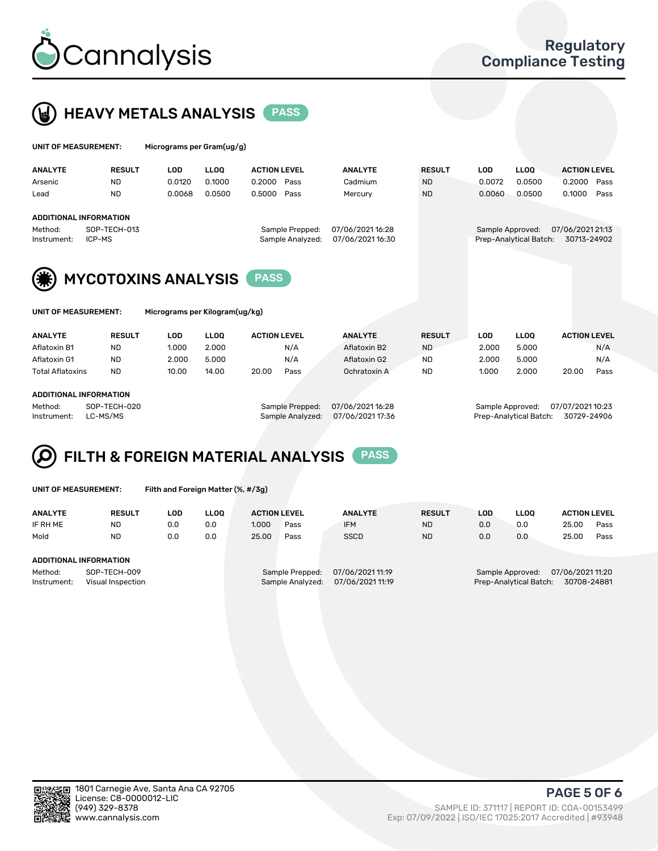



| UNIT OF MEASUREMENT: |                        | Micrograms per Gram(ug/g) |             |                     |                  |               |        |                        |                     |      |  |
|----------------------|------------------------|---------------------------|-------------|---------------------|------------------|---------------|--------|------------------------|---------------------|------|--|
| <b>ANALYTE</b>       | <b>RESULT</b>          | LOD                       | <b>LLOO</b> | <b>ACTION LEVEL</b> | <b>ANALYTE</b>   | <b>RESULT</b> | LOD    | <b>LLOO</b>            | <b>ACTION LEVEL</b> |      |  |
| Arsenic              | <b>ND</b>              | 0.0120                    | 0.1000      | 0.2000<br>Pass      | Cadmium          | <b>ND</b>     | 0.0072 | 0.0500                 | 0.2000              | Pass |  |
| Lead                 | <b>ND</b>              | 0.0068                    | 0.0500      | 0.5000<br>Pass      | Mercury          | <b>ND</b>     | 0.0060 | 0.0500                 | 0.1000              | Pass |  |
|                      | ADDITIONAL INFORMATION |                           |             |                     |                  |               |        |                        |                     |      |  |
| Method:              | SOP-TECH-013           |                           |             | Sample Prepped:     | 07/06/2021 16:28 |               |        | Sample Approved:       | 07/06/2021 21:13    |      |  |
| Instrument:          | ICP-MS                 |                           |             | Sample Analyzed:    | 07/06/202116:30  |               |        | Prep-Analytical Batch: | 30713-24902         |      |  |

Instrument: ICP-MS Sample Analyzed: 07/06/2021 16:30 Prep-Analytical Batch: 30713-24902



| UNIT OF MEASUREMEN |  |  |  |
|--------------------|--|--|--|

IT: Micrograms per Kilogram(ug/kg)

| <b>ANALYTE</b>          | <b>RESULT</b> | LOD   | <b>LLOO</b> | <b>ACTION LEVEL</b> |      | <b>ANALYTE</b> | <b>RESULT</b> | LOD   | <b>LLOO</b> |       | <b>ACTION LEVEL</b> |
|-------------------------|---------------|-------|-------------|---------------------|------|----------------|---------------|-------|-------------|-------|---------------------|
| Aflatoxin B1            | <b>ND</b>     | 1.000 | 2.000       |                     | N/A  | Aflatoxin B2   | <b>ND</b>     | 2.000 | 5.000       |       | N/A                 |
| Aflatoxin G1            | <b>ND</b>     | 2.000 | 5.000       |                     | N/A  | Aflatoxin G2   | <b>ND</b>     | 2.000 | 5.000       |       | N/A                 |
| <b>Total Aflatoxins</b> | <b>ND</b>     | 10.00 | 14.00       | 20.00               | Pass | Ochratoxin A   | <b>ND</b>     | 1.000 | 2.000       | 20.00 | Pass                |
|                         |               |       |             |                     |      |                |               |       |             |       |                     |

#### ADDITIONAL INFORMATION

Method: SOP-TECH-020 Sample Prepped: 07/06/2021 16:28 Sample Approved: 07/07/2021 10:23 Instrument: LC-MS/MS Sample Analyzed: 07/06/2021 17:36 Prep-Analytical Batch: 30729-24906

# FILTH & FOREIGN MATERIAL ANALYSIS PASS

UNIT OF MEASUREMENT: Filth and Foreign Matter (%, #/3g)

| <b>ANALYTE</b>                                              | <b>RESULT</b> | LOD | <b>LLOO</b> | <b>ACTION LEVEL</b> |                                     | <b>ANALYTE</b>                       | <b>RESULT</b> | LOD | <b>LLOO</b>                                | <b>ACTION LEVEL</b>            |      |
|-------------------------------------------------------------|---------------|-----|-------------|---------------------|-------------------------------------|--------------------------------------|---------------|-----|--------------------------------------------|--------------------------------|------|
| IF RH ME                                                    | <b>ND</b>     | 0.0 | 0.0         | 1.000               | Pass                                | <b>IFM</b>                           | <b>ND</b>     | 0.0 | 0.0                                        | 25.00                          | Pass |
| Mold                                                        | <b>ND</b>     | 0.0 | 0.0         | 25.00               | Pass                                | <b>SSCD</b>                          | <b>ND</b>     | 0.0 | 0.0                                        | 25.00                          | Pass |
| ADDITIONAL INFORMATION                                      |               |     |             |                     |                                     |                                      |               |     |                                            |                                |      |
| Method:<br>SOP-TECH-009<br>Instrument:<br>Visual Inspection |               |     |             |                     | Sample Prepped:<br>Sample Analyzed: | 07/06/2021 11:19<br>07/06/2021 11:19 |               |     | Sample Approved:<br>Prep-Analytical Batch: | 07/06/202111:20<br>30708-24881 |      |